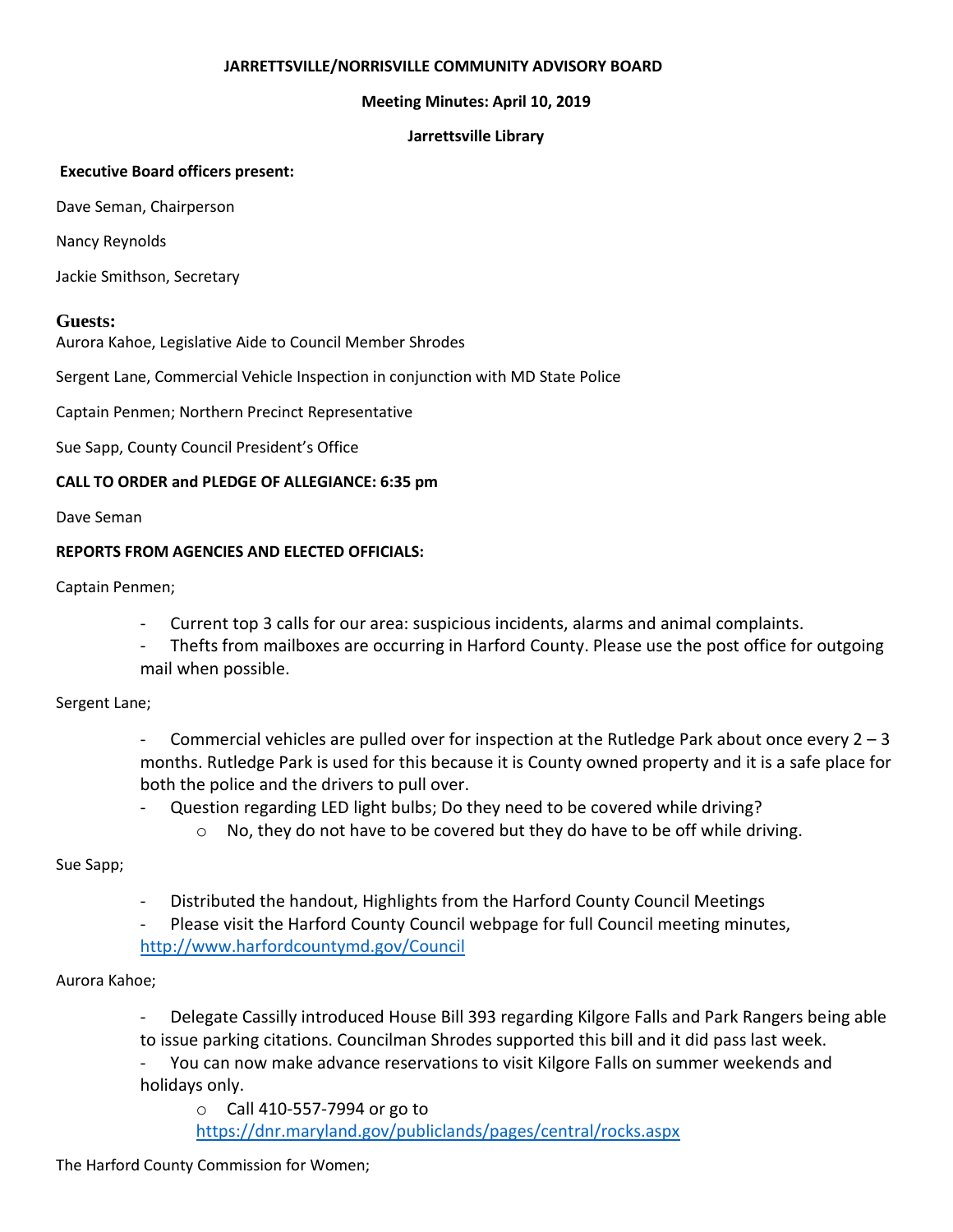#### **JARRETTSVILLE/NORRISVILLE COMMUNITY ADVISORY BOARD**

### **Meeting Minutes: April 10, 2019**

#### **Jarrettsville Library**

#### **Executive Board officers present:**

Dave Seman, Chairperson

Nancy Reynolds

Jackie Smithson, Secretary

### **Guests:**

Aurora Kahoe, Legislative Aide to Council Member Shrodes

Sergent Lane, Commercial Vehicle Inspection in conjunction with MD State Police

Captain Penmen; Northern Precinct Representative

Sue Sapp, County Council President's Office

### **CALL TO ORDER and PLEDGE OF ALLEGIANCE: 6:35 pm**

Dave Seman

### **REPORTS FROM AGENCIES AND ELECTED OFFICIALS:**

Captain Penmen;

- Current top 3 calls for our area: suspicious incidents, alarms and animal complaints.
- Thefts from mailboxes are occurring in Harford County. Please use the post office for outgoing mail when possible.

## Sergent Lane;

- Commercial vehicles are pulled over for inspection at the Rutledge Park about once every  $2 3$ months. Rutledge Park is used for this because it is County owned property and it is a safe place for both the police and the drivers to pull over.
- Question regarding LED light bulbs; Do they need to be covered while driving?
	- $\circ$  No, they do not have to be covered but they do have to be off while driving.

## Sue Sapp;

- Distributed the handout, Highlights from the Harford County Council Meetings
- Please visit the Harford County Council webpage for full Council meeting minutes,

<http://www.harfordcountymd.gov/Council>

## Aurora Kahoe;

- Delegate Cassilly introduced House Bill 393 regarding Kilgore Falls and Park Rangers being able to issue parking citations. Councilman Shrodes supported this bill and it did pass last week.
- You can now make advance reservations to visit Kilgore Falls on summer weekends and holidays only.

o Call 410-557-7994 or go to <https://dnr.maryland.gov/publiclands/pages/central/rocks.aspx>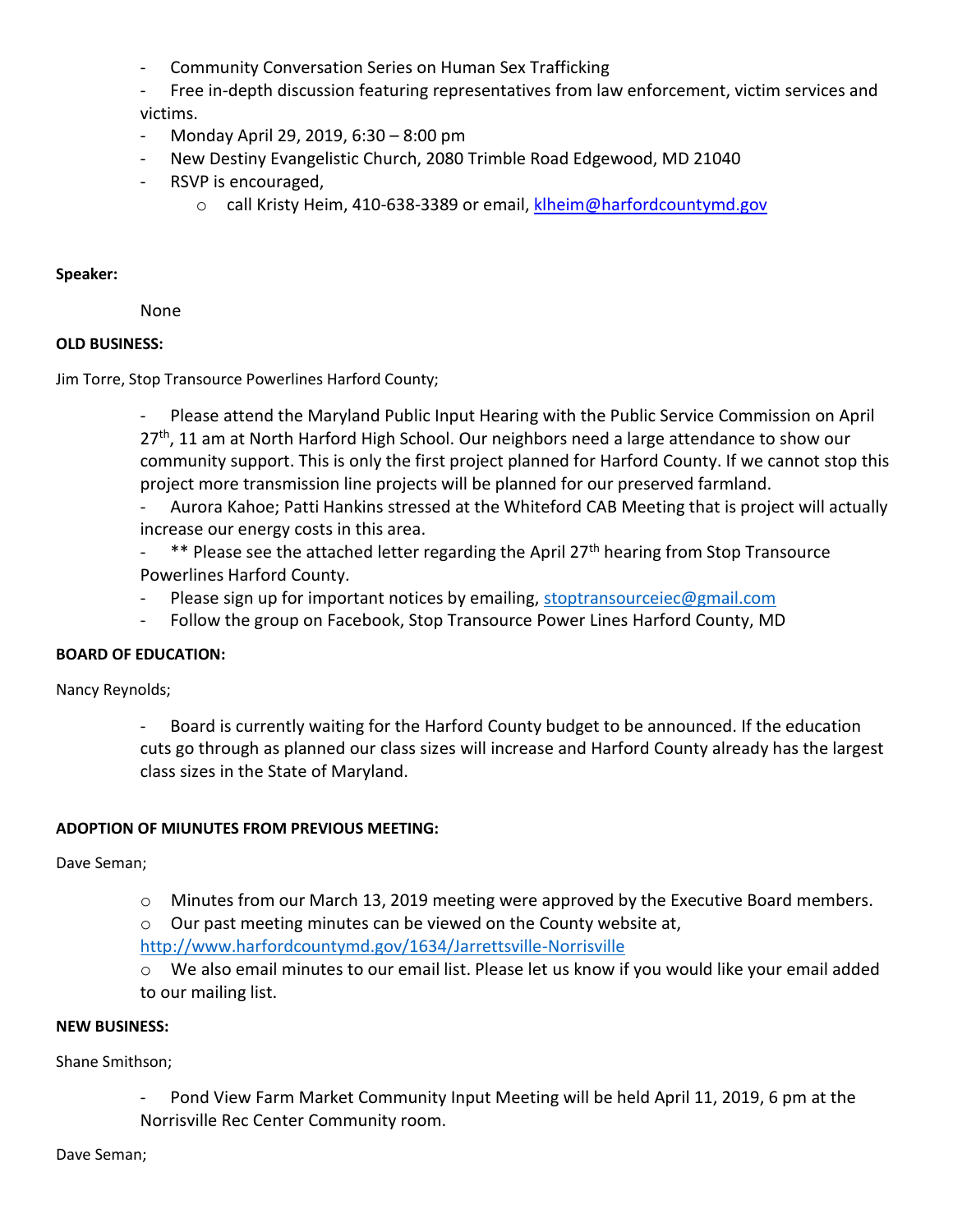Community Conversation Series on Human Sex Trafficking

- Free in-depth discussion featuring representatives from law enforcement, victim services and victims.

- Monday April 29, 2019, 6:30 8:00 pm
- New Destiny Evangelistic Church, 2080 Trimble Road Edgewood, MD 21040
- RSVP is encouraged,
	- o call Kristy Heim, 410-638-3389 or email, [klheim@harfordcountymd.gov](mailto:klheim@harfordcountymd.gov)

#### **Speaker:**

None

## **OLD BUSINESS:**

Jim Torre, Stop Transource Powerlines Harford County;

Please attend the Maryland Public Input Hearing with the Public Service Commission on April 27<sup>th</sup>, 11 am at North Harford High School. Our neighbors need a large attendance to show our community support. This is only the first project planned for Harford County. If we cannot stop this project more transmission line projects will be planned for our preserved farmland.

- Aurora Kahoe; Patti Hankins stressed at the Whiteford CAB Meeting that is project will actually increase our energy costs in this area.
- $-$  \*\* Please see the attached letter regarding the April 27<sup>th</sup> hearing from Stop Transource Powerlines Harford County.
- Please sign up for important notices by emailing, [stoptransourceiec@gmail.com](mailto:stoptransourceiec@gmail.com)
- Follow the group on Facebook, Stop Transource Power Lines Harford County, MD

## **BOARD OF EDUCATION:**

Nancy Reynolds;

- Board is currently waiting for the Harford County budget to be announced. If the education cuts go through as planned our class sizes will increase and Harford County already has the largest class sizes in the State of Maryland.

## **ADOPTION OF MIUNUTES FROM PREVIOUS MEETING:**

Dave Seman;

o Minutes from our March 13, 2019 meeting were approved by the Executive Board members.

o Our past meeting minutes can be viewed on the County website at,

<http://www.harfordcountymd.gov/1634/Jarrettsville-Norrisville>

o We also email minutes to our email list. Please let us know if you would like your email added to our mailing list.

#### **NEW BUSINESS:**

Shane Smithson;

Pond View Farm Market Community Input Meeting will be held April 11, 2019, 6 pm at the Norrisville Rec Center Community room.

Dave Seman;